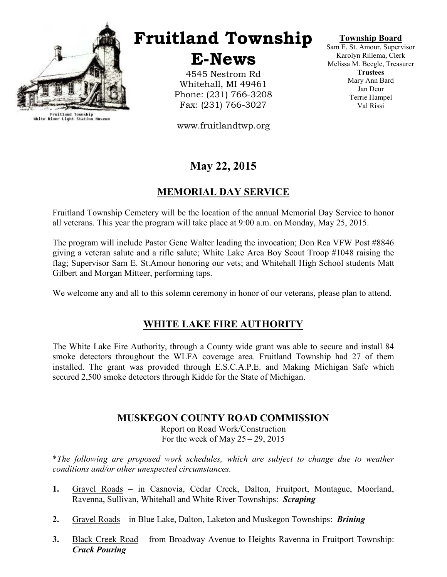

Fruitland Township<br>White River Light Station Museum

# Fruitland Township

E-News

4545 Nestrom Rd Whitehall, MI 49461 Phone: (231) 766-3208 Fax: (231) 766-3027

www.fruitlandtwp.org

# May 22, 2015

### MEMORIAL DAY SERVICE

Fruitland Township Cemetery will be the location of the annual Memorial Day Service to honor all veterans. This year the program will take place at 9:00 a.m. on Monday, May 25, 2015.

The program will include Pastor Gene Walter leading the invocation; Don Rea VFW Post #8846 giving a veteran salute and a rifle salute; White Lake Area Boy Scout Troop #1048 raising the flag; Supervisor Sam E. St.Amour honoring our vets; and Whitehall High School students Matt Gilbert and Morgan Mitteer, performing taps.

We welcome any and all to this solemn ceremony in honor of our veterans, please plan to attend.

#### WHITE LAKE FIRE AUTHORITY

The White Lake Fire Authority, through a County wide grant was able to secure and install 84 smoke detectors throughout the WLFA coverage area. Fruitland Township had 27 of them installed. The grant was provided through E.S.C.A.P.E. and Making Michigan Safe which secured 2,500 smoke detectors through Kidde for the State of Michigan.

#### MUSKEGON COUNTY ROAD COMMISSION

Report on Road Work/Construction For the week of May  $25 - 29$ , 2015

\*The following are proposed work schedules, which are subject to change due to weather conditions and/or other unexpected circumstances.

- 1. Gravel Roads in Casnovia, Cedar Creek, Dalton, Fruitport, Montague, Moorland, Ravenna, Sullivan, Whitehall and White River Townships: Scraping
- 2. Gravel Roads in Blue Lake, Dalton, Laketon and Muskegon Townships: *Brining*
- 3. Black Creek Road from Broadway Avenue to Heights Ravenna in Fruitport Township: Crack Pouring

Township Board

Sam E. St. Amour, Supervisor Karolyn Rillema, Clerk Melissa M. Beegle, Treasurer **Trustees** Mary Ann Bard Jan Deur Terrie Hampel Val Rissi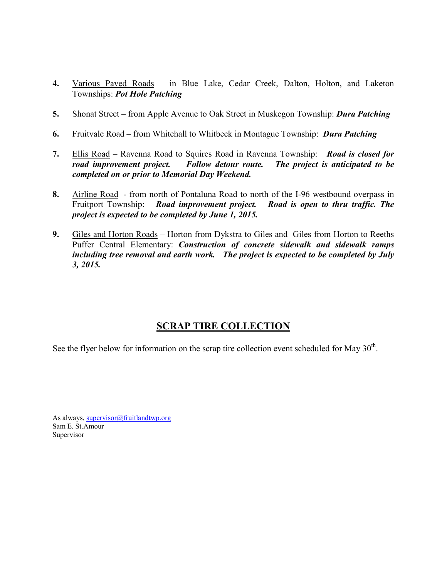- 4. Various Paved Roads in Blue Lake, Cedar Creek, Dalton, Holton, and Laketon Townships: Pot Hole Patching
- 5. Shonat Street from Apple Avenue to Oak Street in Muskegon Township: Dura Patching
- 6. Fruitvale Road from Whitehall to Whitbeck in Montague Township: Dura Patching
- 7. Ellis Road Ravenna Road to Squires Road in Ravenna Township: Road is closed for road improvement project. Follow detour route. The project is anticipated to be completed on or prior to Memorial Day Weekend.
- 8. Airline Road from north of Pontaluna Road to north of the I-96 westbound overpass in Fruitport Township: Road improvement project. Road is open to thru traffic. The project is expected to be completed by June 1, 2015.
- 9. Giles and Horton Roads Horton from Dykstra to Giles and Giles from Horton to Reeths Puffer Central Elementary: *Construction of concrete sidewalk and sidewalk ramps* including tree removal and earth work. The project is expected to be completed by July 3, 2015.

## SCRAP TIRE COLLECTION

See the flyer below for information on the scrap tire collection event scheduled for May  $30<sup>th</sup>$ .

As always, supervisor@fruitlandtwp.org Sam E. St.Amour Supervisor